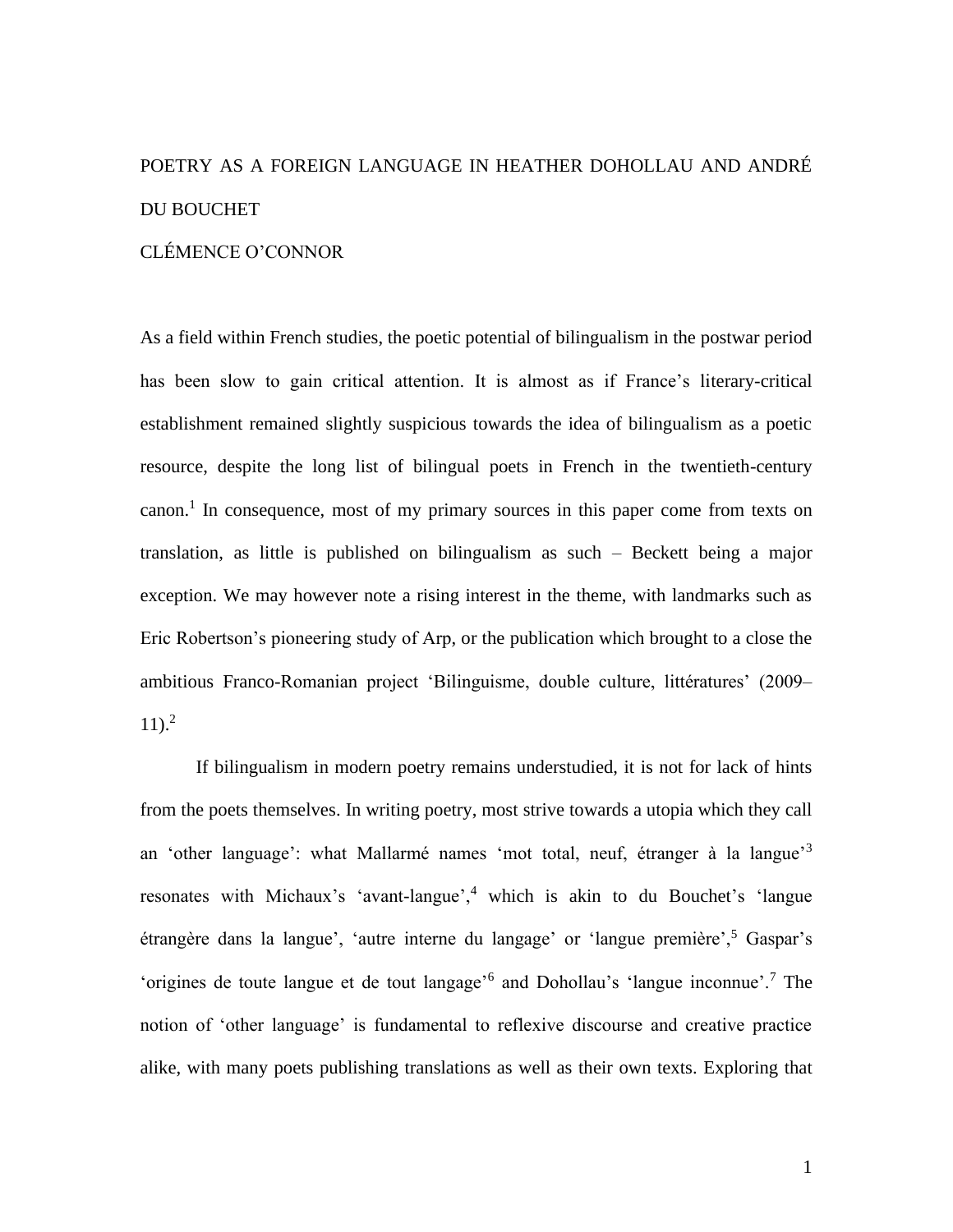## POETRY AS A FOREIGN LANGUAGE IN HEATHER DOHOLLAU AND ANDRÉ DU BOUCHET

## CLÉMENCE O'CONNOR

As a field within French studies, the poetic potential of bilingualism in the postwar period has been slow to gain critical attention. It is almost as if France's literary-critical establishment remained slightly suspicious towards the idea of bilingualism as a poetic resource, despite the long list of bilingual poets in French in the twentieth-century canon.<sup>1</sup> In consequence, most of my primary sources in this paper come from texts on translation, as little is published on bilingualism as such – Beckett being a major exception. We may however note a rising interest in the theme, with landmarks such as Eric Robertson's pioneering study of Arp, or the publication which brought to a close the ambitious Franco-Romanian project 'Bilinguisme, double culture, littératures' (2009–  $11$ ).<sup>2</sup>

If bilingualism in modern poetry remains understudied, it is not for lack of hints from the poets themselves. In writing poetry, most strive towards a utopia which they call an 'other language': what Mallarmé names 'mot total, neuf, étranger à la langue'<sup>3</sup> resonates with Michaux's 'avant-langue',<sup>4</sup> which is akin to du Bouchet's 'langue étrangère dans la langue', 'autre interne du langage' or 'langue première',<sup>5</sup> Gaspar's 'origines de toute langue et de tout langage'<sup>6</sup> and Dohollau's 'langue inconnue'.<sup>7</sup> The notion of 'other language' is fundamental to reflexive discourse and creative practice alike, with many poets publishing translations as well as their own texts. Exploring that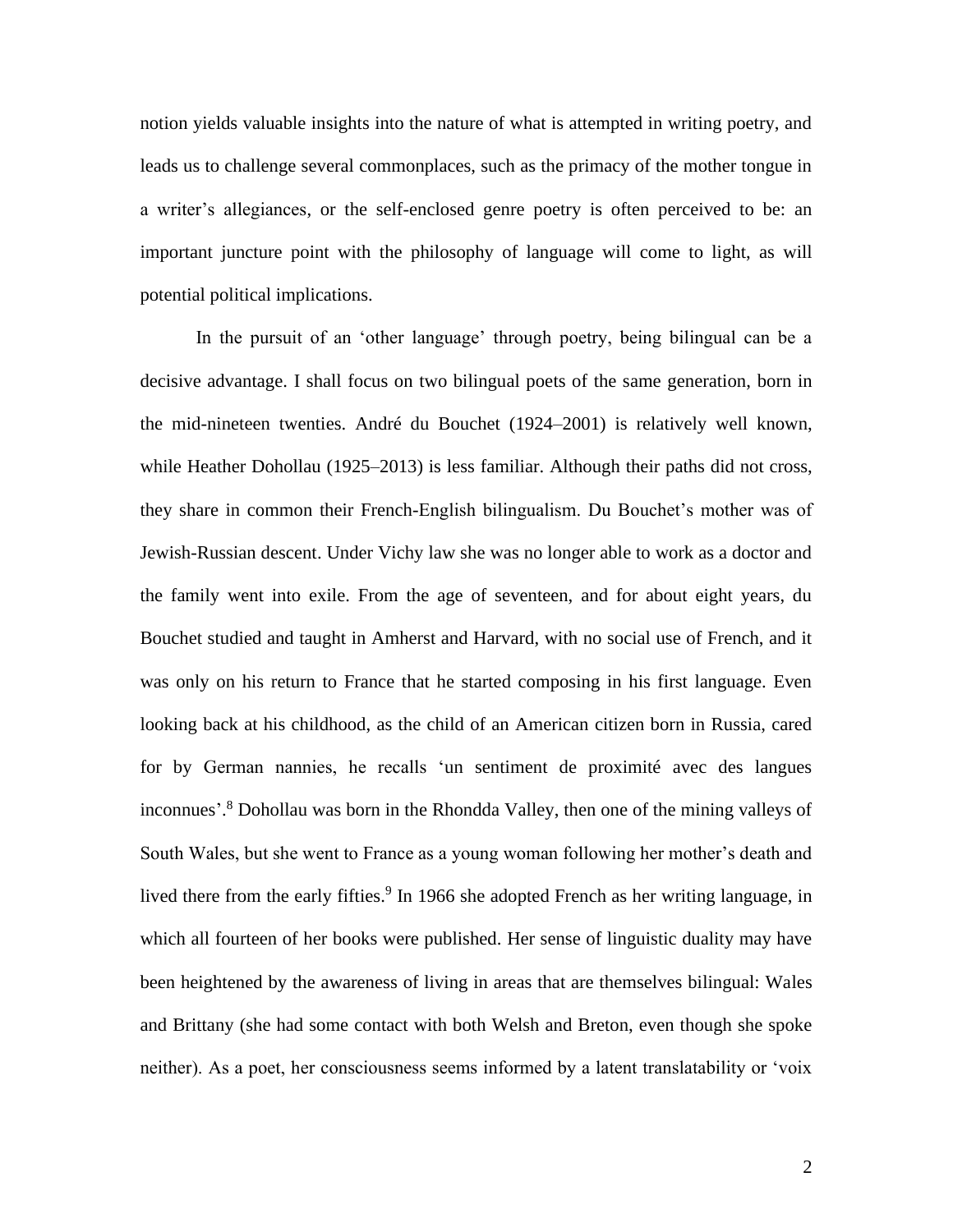notion yields valuable insights into the nature of what is attempted in writing poetry, and leads us to challenge several commonplaces, such as the primacy of the mother tongue in a writer's allegiances, or the self-enclosed genre poetry is often perceived to be: an important juncture point with the philosophy of language will come to light, as will potential political implications.

In the pursuit of an 'other language' through poetry, being bilingual can be a decisive advantage. I shall focus on two bilingual poets of the same generation, born in the mid-nineteen twenties. André du Bouchet (1924–2001) is relatively well known, while Heather Dohollau (1925–2013) is less familiar. Although their paths did not cross, they share in common their French-English bilingualism. Du Bouchet's mother was of Jewish-Russian descent. Under Vichy law she was no longer able to work as a doctor and the family went into exile. From the age of seventeen, and for about eight years, du Bouchet studied and taught in Amherst and Harvard, with no social use of French, and it was only on his return to France that he started composing in his first language. Even looking back at his childhood, as the child of an American citizen born in Russia, cared for by German nannies, he recalls 'un sentiment de proximité avec des langues inconnues'. <sup>8</sup> Dohollau was born in the Rhondda Valley, then one of the mining valleys of South Wales, but she went to France as a young woman following her mother's death and lived there from the early fifties.<sup>9</sup> In 1966 she adopted French as her writing language, in which all fourteen of her books were published. Her sense of linguistic duality may have been heightened by the awareness of living in areas that are themselves bilingual: Wales and Brittany (she had some contact with both Welsh and Breton, even though she spoke neither). As a poet, her consciousness seems informed by a latent translatability or 'voix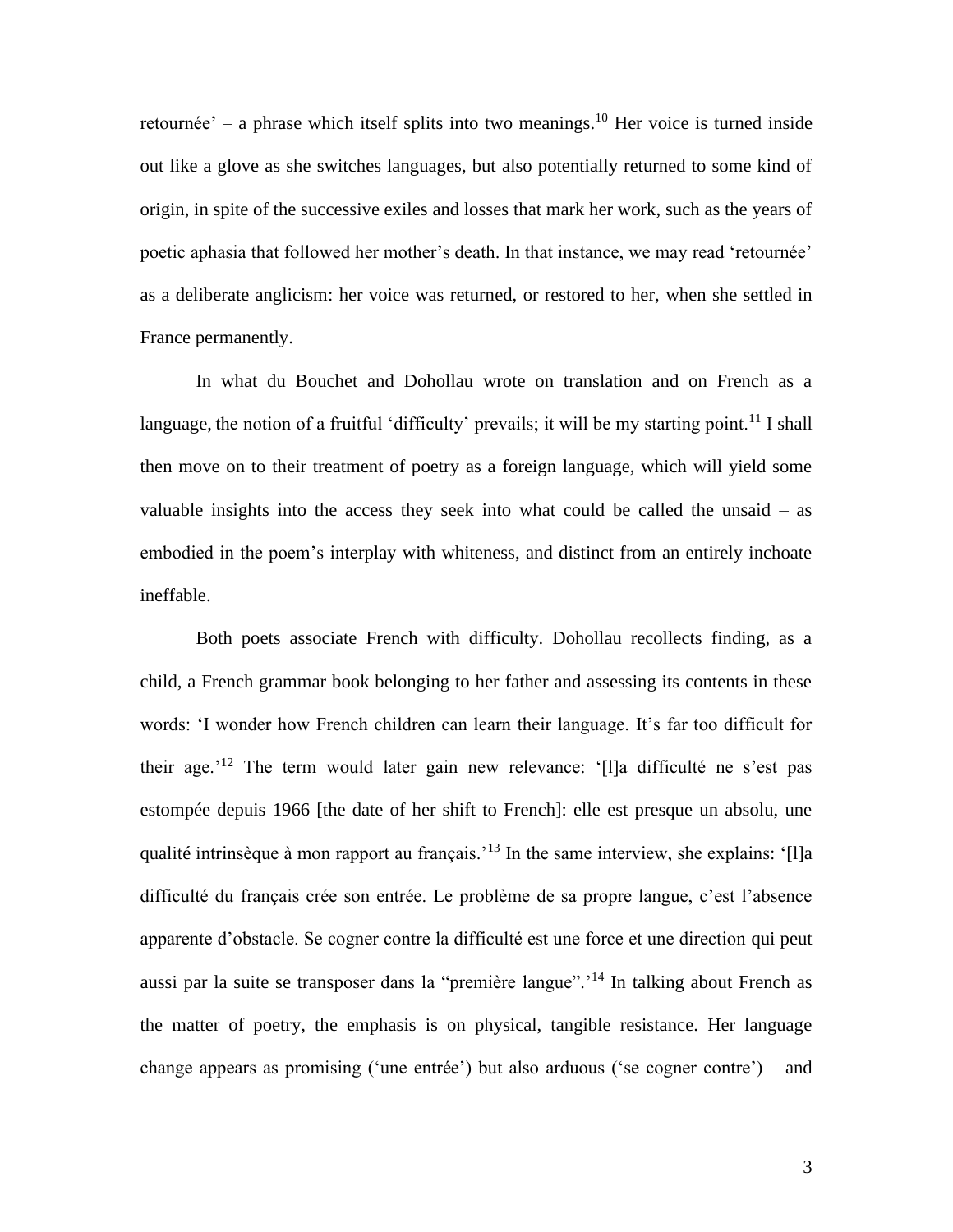retournée' – a phrase which itself splits into two meanings.<sup>10</sup> Her voice is turned inside out like a glove as she switches languages, but also potentially returned to some kind of origin, in spite of the successive exiles and losses that mark her work, such as the years of poetic aphasia that followed her mother's death. In that instance, we may read 'retournée' as a deliberate anglicism: her voice was returned, or restored to her, when she settled in France permanently.

In what du Bouchet and Dohollau wrote on translation and on French as a language, the notion of a fruitful 'difficulty' prevails; it will be my starting point.<sup>11</sup> I shall then move on to their treatment of poetry as a foreign language, which will yield some valuable insights into the access they seek into what could be called the unsaid – as embodied in the poem's interplay with whiteness, and distinct from an entirely inchoate ineffable.

Both poets associate French with difficulty. Dohollau recollects finding, as a child, a French grammar book belonging to her father and assessing its contents in these words: 'I wonder how French children can learn their language. It's far too difficult for their age.'<sup>12</sup> The term would later gain new relevance: '[l]a difficulté ne s'est pas estompée depuis 1966 [the date of her shift to French]: elle est presque un absolu, une qualité intrinsèque à mon rapport au français.<sup>'13</sup> In the same interview, she explains: '[l]a difficulté du français crée son entrée. Le problème de sa propre langue, c'est l'absence apparente d'obstacle. Se cogner contre la difficulté est une force et une direction qui peut aussi par la suite se transposer dans la "première langue".'<sup>14</sup> In talking about French as the matter of poetry, the emphasis is on physical, tangible resistance. Her language change appears as promising ('une entrée') but also arduous ('se cogner contre') – and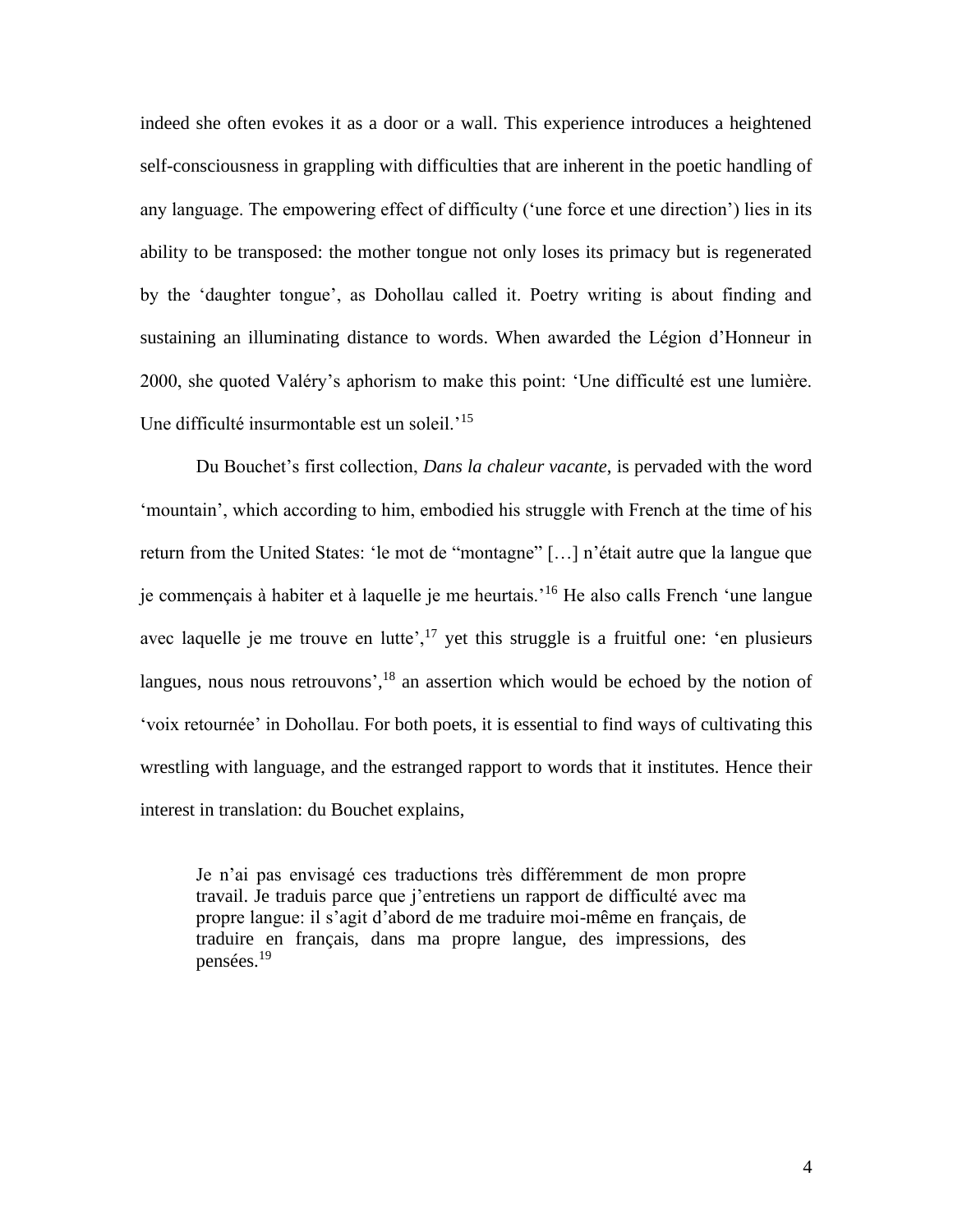indeed she often evokes it as a door or a wall. This experience introduces a heightened self-consciousness in grappling with difficulties that are inherent in the poetic handling of any language. The empowering effect of difficulty ('une force et une direction') lies in its ability to be transposed: the mother tongue not only loses its primacy but is regenerated by the 'daughter tongue', as Dohollau called it. Poetry writing is about finding and sustaining an illuminating distance to words. When awarded the Légion d'Honneur in 2000, she quoted Valéry's aphorism to make this point: 'Une difficulté est une lumière. Une difficulté insurmontable est un soleil.<sup>'15</sup>

Du Bouchet's first collection, *Dans la chaleur vacante*, is pervaded with the word 'mountain', which according to him, embodied his struggle with French at the time of his return from the United States: 'le mot de "montagne" […] n'était autre que la langue que je commençais à habiter et à laquelle je me heurtais.'<sup>16</sup> He also calls French 'une langue avec laquelle je me trouve en lutte', $^{17}$  yet this struggle is a fruitful one: 'en plusieurs langues, nous nous retrouvons',  $18$  an assertion which would be echoed by the notion of 'voix retournée' in Dohollau. For both poets, it is essential to find ways of cultivating this wrestling with language, and the estranged rapport to words that it institutes. Hence their interest in translation: du Bouchet explains,

Je n'ai pas envisagé ces traductions très différemment de mon propre travail. Je traduis parce que j'entretiens un rapport de difficulté avec ma propre langue: il s'agit d'abord de me traduire moi-même en français, de traduire en français, dans ma propre langue, des impressions, des pensées.<sup>19</sup>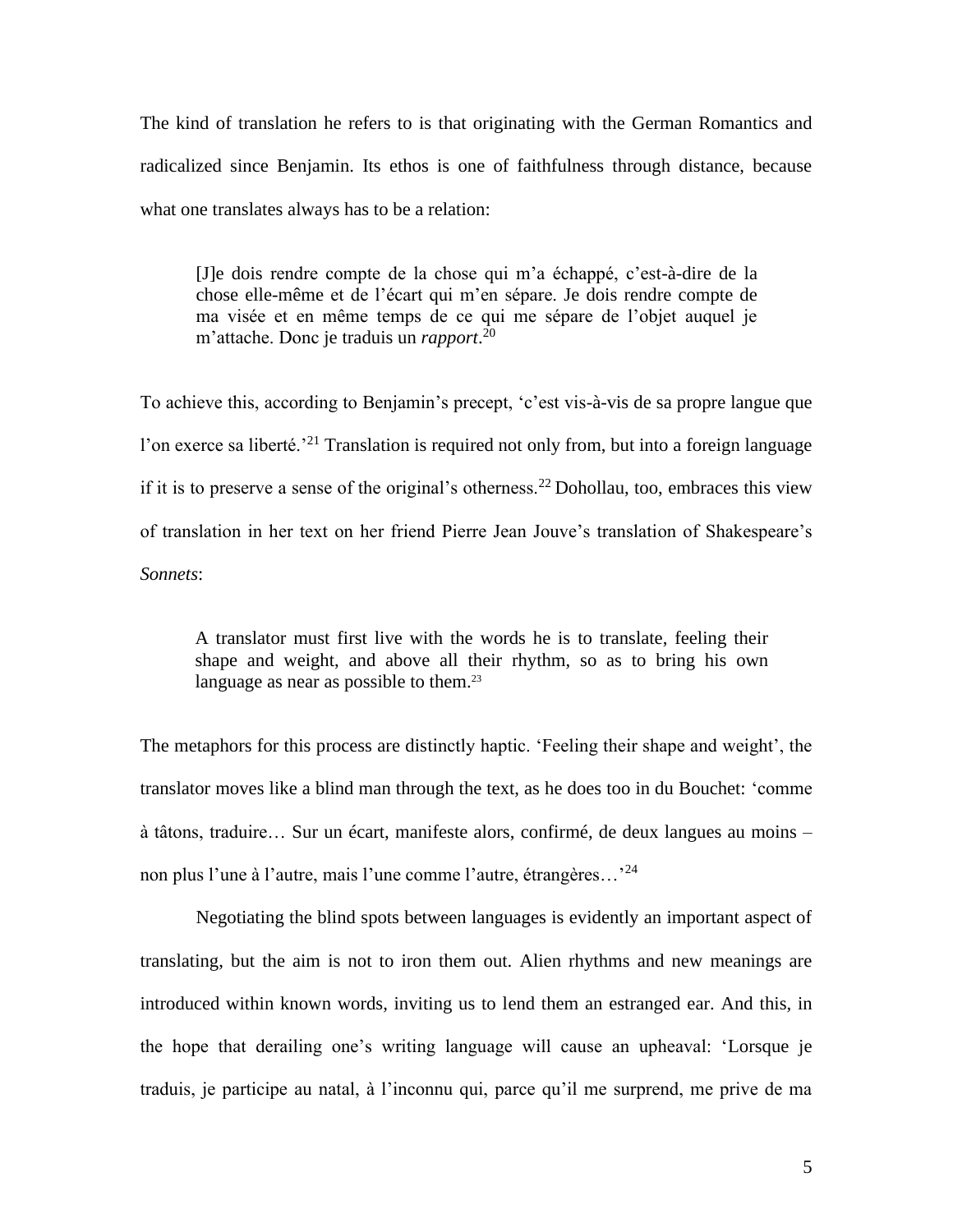The kind of translation he refers to is that originating with the German Romantics and radicalized since Benjamin. Its ethos is one of faithfulness through distance, because what one translates always has to be a relation:

[J]e dois rendre compte de la chose qui m'a échappé, c'est-à-dire de la chose elle-même et de l'écart qui m'en sépare. Je dois rendre compte de ma visée et en même temps de ce qui me sépare de l'objet auquel je m'attache. Donc je traduis un *rapport*. 20

To achieve this, according to Benjamin's precept, 'c'est vis-à-vis de sa propre langue que l'on exerce sa liberté.<sup>21</sup> Translation is required not only from, but into a foreign language if it is to preserve a sense of the original's otherness.<sup>22</sup> Dohollau, too, embraces this view of translation in her text on her friend Pierre Jean Jouve's translation of Shakespeare's *Sonnets*:

A translator must first live with the words he is to translate, feeling their shape and weight, and above all their rhythm, so as to bring his own language as near as possible to them.<sup>23</sup>

The metaphors for this process are distinctly haptic. 'Feeling their shape and weight', the translator moves like a blind man through the text, as he does too in du Bouchet: 'comme à tâtons, traduire… Sur un écart, manifeste alors, confirmé, de deux langues au moins – non plus l'une à l'autre, mais l'une comme l'autre, étrangères...<sup>24</sup>

Negotiating the blind spots between languages is evidently an important aspect of translating, but the aim is not to iron them out. Alien rhythms and new meanings are introduced within known words, inviting us to lend them an estranged ear. And this, in the hope that derailing one's writing language will cause an upheaval: 'Lorsque je traduis, je participe au natal, à l'inconnu qui, parce qu'il me surprend, me prive de ma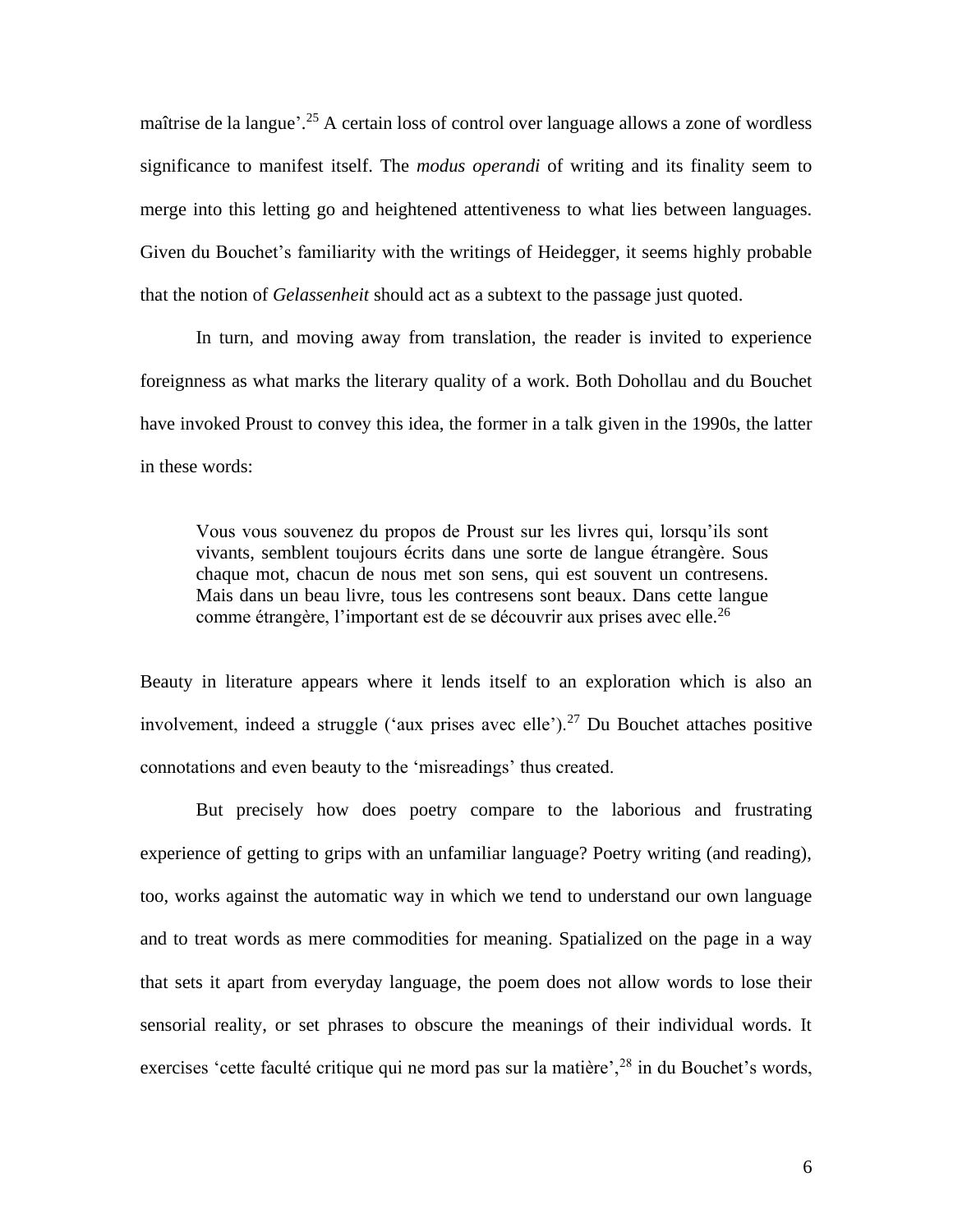maîtrise de la langue'.<sup>25</sup> A certain loss of control over language allows a zone of wordless significance to manifest itself. The *modus operandi* of writing and its finality seem to merge into this letting go and heightened attentiveness to what lies between languages. Given du Bouchet's familiarity with the writings of Heidegger, it seems highly probable that the notion of *Gelassenheit* should act as a subtext to the passage just quoted.

In turn, and moving away from translation, the reader is invited to experience foreignness as what marks the literary quality of a work. Both Dohollau and du Bouchet have invoked Proust to convey this idea, the former in a talk given in the 1990s, the latter in these words:

Vous vous souvenez du propos de Proust sur les livres qui, lorsqu'ils sont vivants, semblent toujours écrits dans une sorte de langue étrangère. Sous chaque mot, chacun de nous met son sens, qui est souvent un contresens. Mais dans un beau livre, tous les contresens sont beaux. Dans cette langue comme étrangère, l'important est de se découvrir aux prises avec elle.<sup>26</sup>

Beauty in literature appears where it lends itself to an exploration which is also an involvement, indeed a struggle ('aux prises avec elle').<sup>27</sup> Du Bouchet attaches positive connotations and even beauty to the 'misreadings' thus created.

But precisely how does poetry compare to the laborious and frustrating experience of getting to grips with an unfamiliar language? Poetry writing (and reading), too, works against the automatic way in which we tend to understand our own language and to treat words as mere commodities for meaning. Spatialized on the page in a way that sets it apart from everyday language, the poem does not allow words to lose their sensorial reality, or set phrases to obscure the meanings of their individual words. It exercises 'cette faculté critique qui ne mord pas sur la matière',<sup>28</sup> in du Bouchet's words,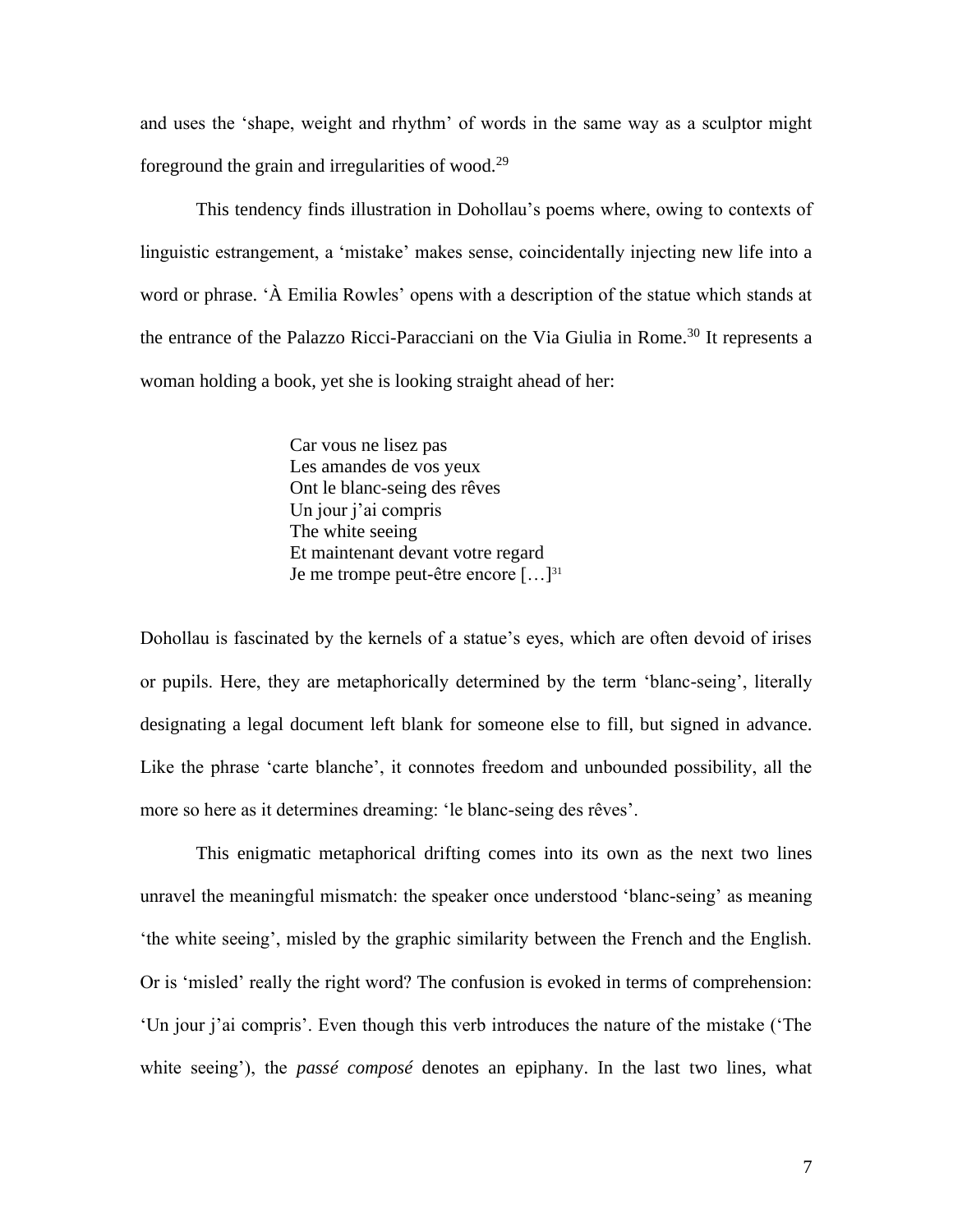and uses the 'shape, weight and rhythm' of words in the same way as a sculptor might foreground the grain and irregularities of wood. $29$ 

This tendency finds illustration in Dohollau's poems where, owing to contexts of linguistic estrangement, a 'mistake' makes sense, coincidentally injecting new life into a word or phrase. 'À Emilia Rowles' opens with a description of the statue which stands at the entrance of the Palazzo Ricci-Paracciani on the Via Giulia in Rome.<sup>30</sup> It represents a woman holding a book, yet she is looking straight ahead of her:

> Car vous ne lisez pas Les amandes de vos yeux Ont le blanc-seing des rêves Un jour j'ai compris The white seeing Et maintenant devant votre regard Je me trompe peut-être encore [...]<sup>31</sup>

Dohollau is fascinated by the kernels of a statue's eyes, which are often devoid of irises or pupils. Here, they are metaphorically determined by the term 'blanc-seing', literally designating a legal document left blank for someone else to fill, but signed in advance. Like the phrase 'carte blanche', it connotes freedom and unbounded possibility, all the more so here as it determines dreaming: 'le blanc-seing des rêves'.

This enigmatic metaphorical drifting comes into its own as the next two lines unravel the meaningful mismatch: the speaker once understood 'blanc-seing' as meaning 'the white seeing', misled by the graphic similarity between the French and the English. Or is 'misled' really the right word? The confusion is evoked in terms of comprehension: 'Un jour j'ai compris'. Even though this verb introduces the nature of the mistake ('The white seeing'), the *passé composé* denotes an epiphany. In the last two lines, what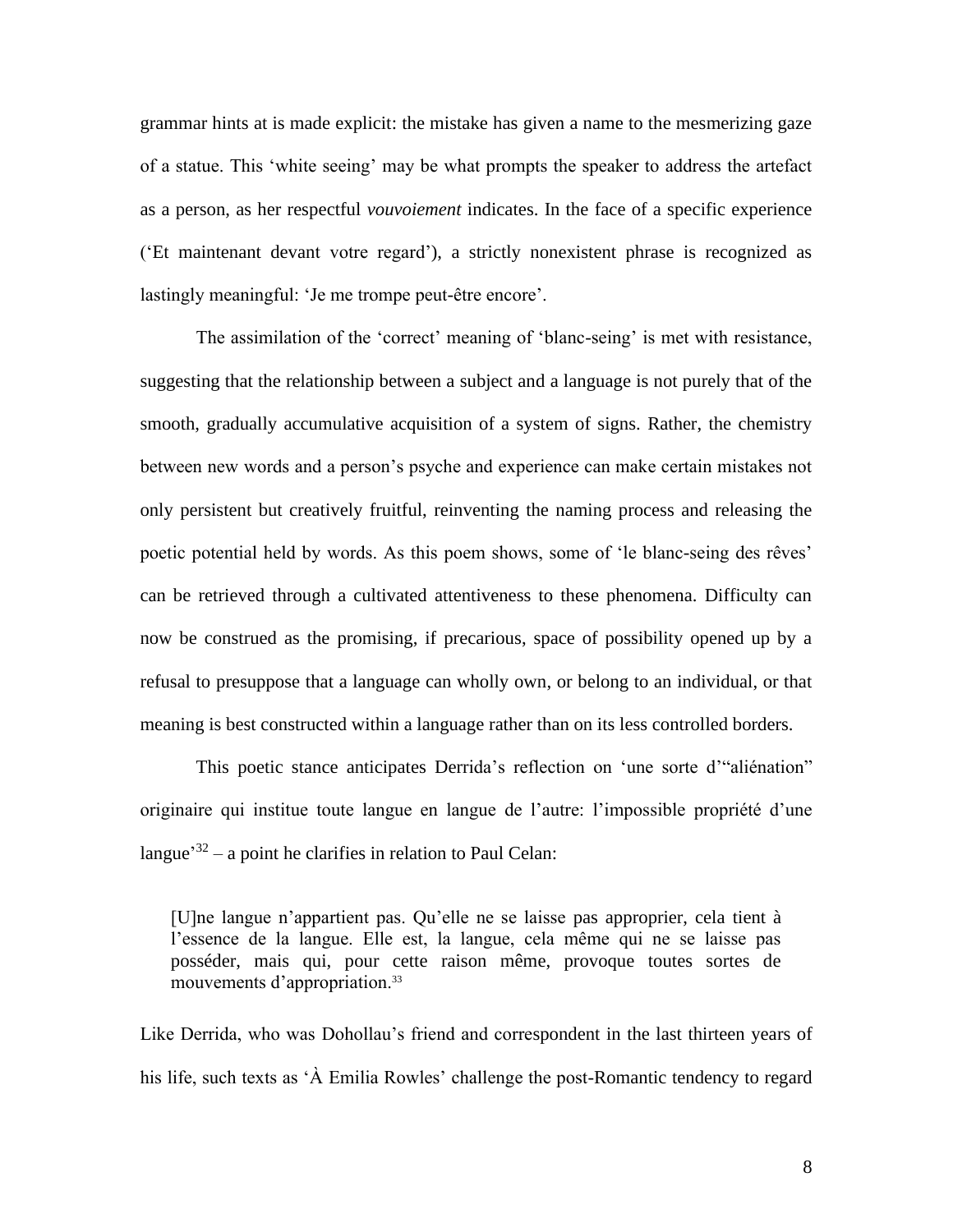grammar hints at is made explicit: the mistake has given a name to the mesmerizing gaze of a statue. This 'white seeing' may be what prompts the speaker to address the artefact as a person, as her respectful *vouvoiement* indicates. In the face of a specific experience ('Et maintenant devant votre regard'), a strictly nonexistent phrase is recognized as lastingly meaningful: 'Je me trompe peut-être encore'.

The assimilation of the 'correct' meaning of 'blanc-seing' is met with resistance, suggesting that the relationship between a subject and a language is not purely that of the smooth, gradually accumulative acquisition of a system of signs. Rather, the chemistry between new words and a person's psyche and experience can make certain mistakes not only persistent but creatively fruitful, reinventing the naming process and releasing the poetic potential held by words. As this poem shows, some of 'le blanc-seing des rêves' can be retrieved through a cultivated attentiveness to these phenomena. Difficulty can now be construed as the promising, if precarious, space of possibility opened up by a refusal to presuppose that a language can wholly own, or belong to an individual, or that meaning is best constructed within a language rather than on its less controlled borders.

This poetic stance anticipates Derrida's reflection on 'une sorte d'"aliénation" originaire qui institue toute langue en langue de l'autre: l'impossible propriété d'une langue<sup>32</sup> – a point he clarifies in relation to Paul Celan:

[U]ne langue n'appartient pas. Qu'elle ne se laisse pas approprier, cela tient à l'essence de la langue. Elle est, la langue, cela même qui ne se laisse pas posséder, mais qui, pour cette raison même, provoque toutes sortes de mouvements d'appropriation.<sup>33</sup>

Like Derrida, who was Dohollau's friend and correspondent in the last thirteen years of his life, such texts as 'À Emilia Rowles' challenge the post-Romantic tendency to regard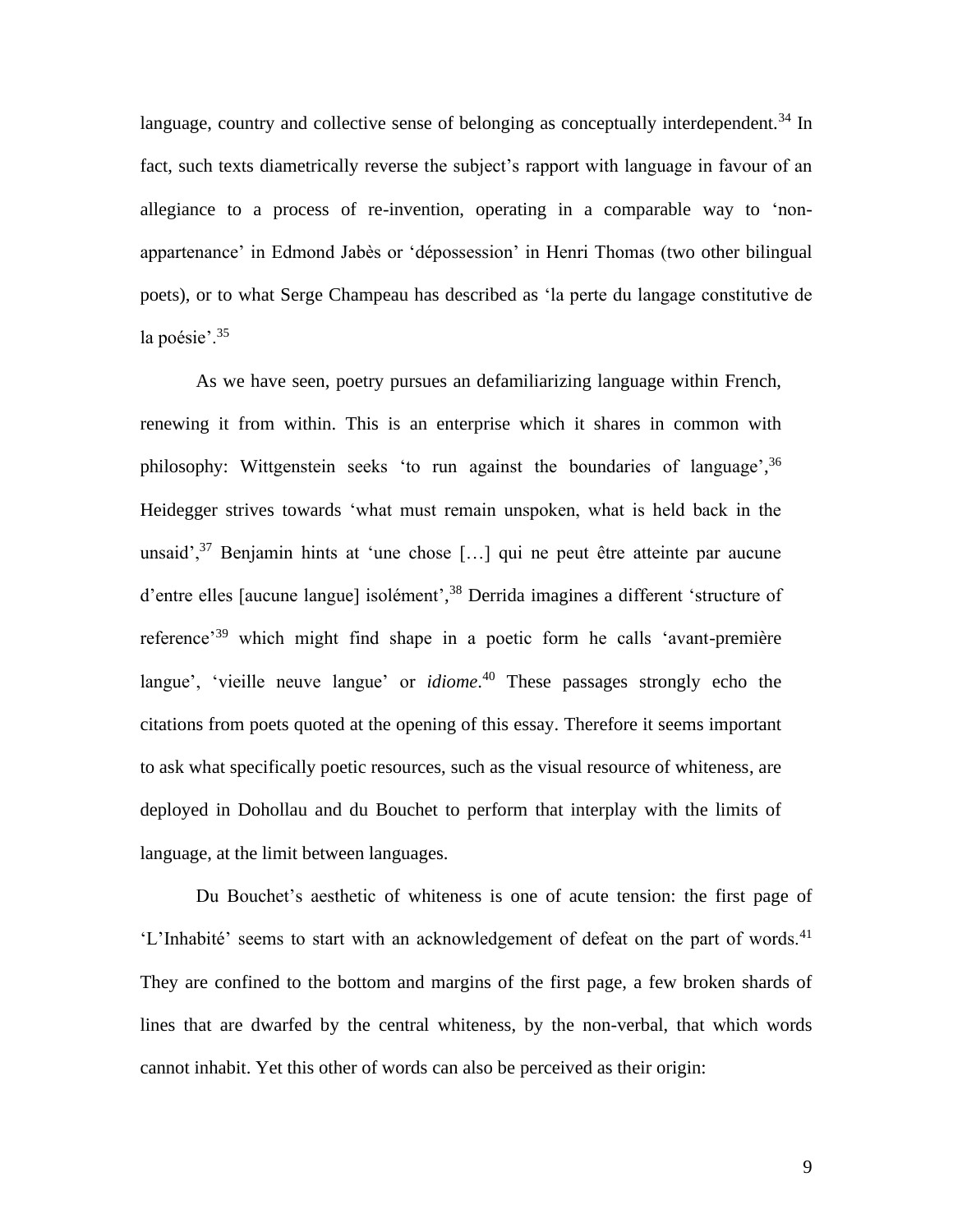language, country and collective sense of belonging as conceptually interdependent.<sup>34</sup> In fact, such texts diametrically reverse the subject's rapport with language in favour of an allegiance to a process of re-invention, operating in a comparable way to 'nonappartenance' in Edmond Jabès or 'dépossession' in Henri Thomas (two other bilingual poets), or to what Serge Champeau has described as 'la perte du langage constitutive de la poésie'.<sup>35</sup>

As we have seen, poetry pursues an defamiliarizing language within French, renewing it from within. This is an enterprise which it shares in common with philosophy: Wittgenstein seeks 'to run against the boundaries of language',<sup>36</sup> Heidegger strives towards 'what must remain unspoken, what is held back in the unsaid',  $37$  Benjamin hints at 'une chose [...] qui ne peut être atteinte par aucune d'entre elles [aucune langue] isolément',<sup>38</sup> Derrida imagines a different 'structure of reference'<sup>39</sup> which might find shape in a poetic form he calls 'avant-première langue', 'vieille neuve langue' or *idiome*. <sup>40</sup> These passages strongly echo the citations from poets quoted at the opening of this essay. Therefore it seems important to ask what specifically poetic resources, such as the visual resource of whiteness, are deployed in Dohollau and du Bouchet to perform that interplay with the limits of language, at the limit between languages.

Du Bouchet's aesthetic of whiteness is one of acute tension: the first page of 'L'Inhabité' seems to start with an acknowledgement of defeat on the part of words.<sup>41</sup> They are confined to the bottom and margins of the first page, a few broken shards of lines that are dwarfed by the central whiteness, by the non-verbal, that which words cannot inhabit. Yet this other of words can also be perceived as their origin: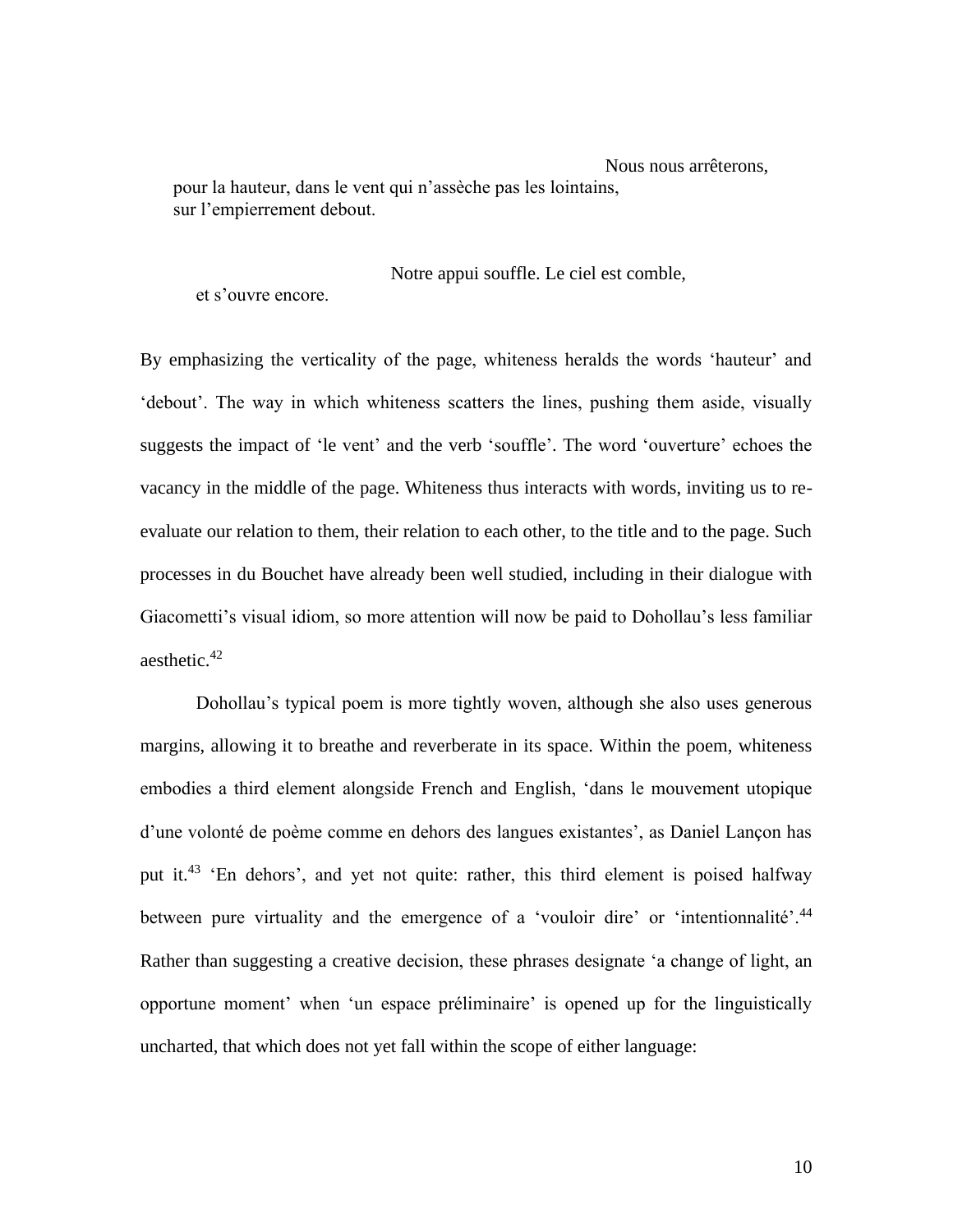Nous nous arrêterons, pour la hauteur, dans le vent qui n'assèche pas les lointains, sur l'empierrement debout.

Notre appui souffle. Le ciel est comble,

et s'ouvre encore.

By emphasizing the verticality of the page, whiteness heralds the words 'hauteur' and 'debout'. The way in which whiteness scatters the lines, pushing them aside, visually suggests the impact of 'le vent' and the verb 'souffle'. The word 'ouverture' echoes the vacancy in the middle of the page. Whiteness thus interacts with words, inviting us to reevaluate our relation to them, their relation to each other, to the title and to the page. Such processes in du Bouchet have already been well studied, including in their dialogue with Giacometti's visual idiom, so more attention will now be paid to Dohollau's less familiar aesthetic.<sup>42</sup>

Dohollau's typical poem is more tightly woven, although she also uses generous margins, allowing it to breathe and reverberate in its space. Within the poem, whiteness embodies a third element alongside French and English, 'dans le mouvement utopique d'une volonté de poème comme en dehors des langues existantes', as Daniel Lançon has put it.<sup>43</sup> 'En dehors', and yet not quite: rather, this third element is poised halfway between pure virtuality and the emergence of a 'vouloir dire' or 'intentionnalité'.<sup>44</sup> Rather than suggesting a creative decision, these phrases designate 'a change of light, an opportune moment' when 'un espace préliminaire' is opened up for the linguistically uncharted, that which does not yet fall within the scope of either language: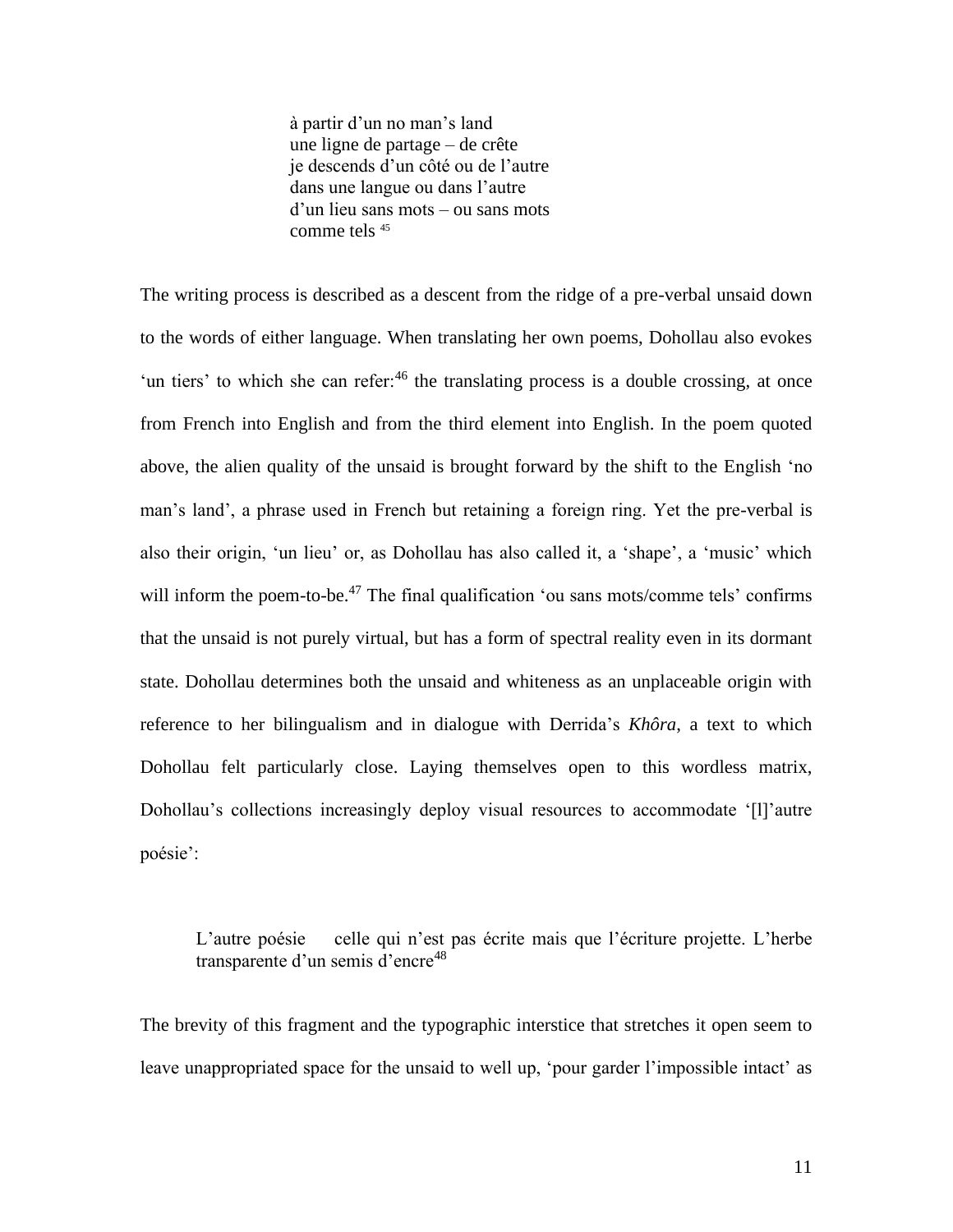à partir d'un no man's land une ligne de partage – de crête je descends d'un côté ou de l'autre dans une langue ou dans l'autre d'un lieu sans mots – ou sans mots comme tels <sup>45</sup>

The writing process is described as a descent from the ridge of a pre-verbal unsaid down to the words of either language. When translating her own poems, Dohollau also evokes 'un tiers' to which she can refer: $46$  the translating process is a double crossing, at once from French into English and from the third element into English. In the poem quoted above, the alien quality of the unsaid is brought forward by the shift to the English 'no man's land', a phrase used in French but retaining a foreign ring. Yet the pre-verbal is also their origin, 'un lieu' or, as Dohollau has also called it, a 'shape', a 'music' which will inform the poem-to-be.<sup>47</sup> The final qualification 'ou sans mots/comme tels' confirms that the unsaid is not purely virtual, but has a form of spectral reality even in its dormant state. Dohollau determines both the unsaid and whiteness as an unplaceable origin with reference to her bilingualism and in dialogue with Derrida's *Khôra*, a text to which Dohollau felt particularly close. Laying themselves open to this wordless matrix, Dohollau's collections increasingly deploy visual resources to accommodate '[l]'autre poésie':

L'autre poésie celle qui n'est pas écrite mais que l'écriture projette. L'herbe transparente d'un semis d'encre<sup>48</sup>

The brevity of this fragment and the typographic interstice that stretches it open seem to leave unappropriated space for the unsaid to well up, 'pour garder l'impossible intact' as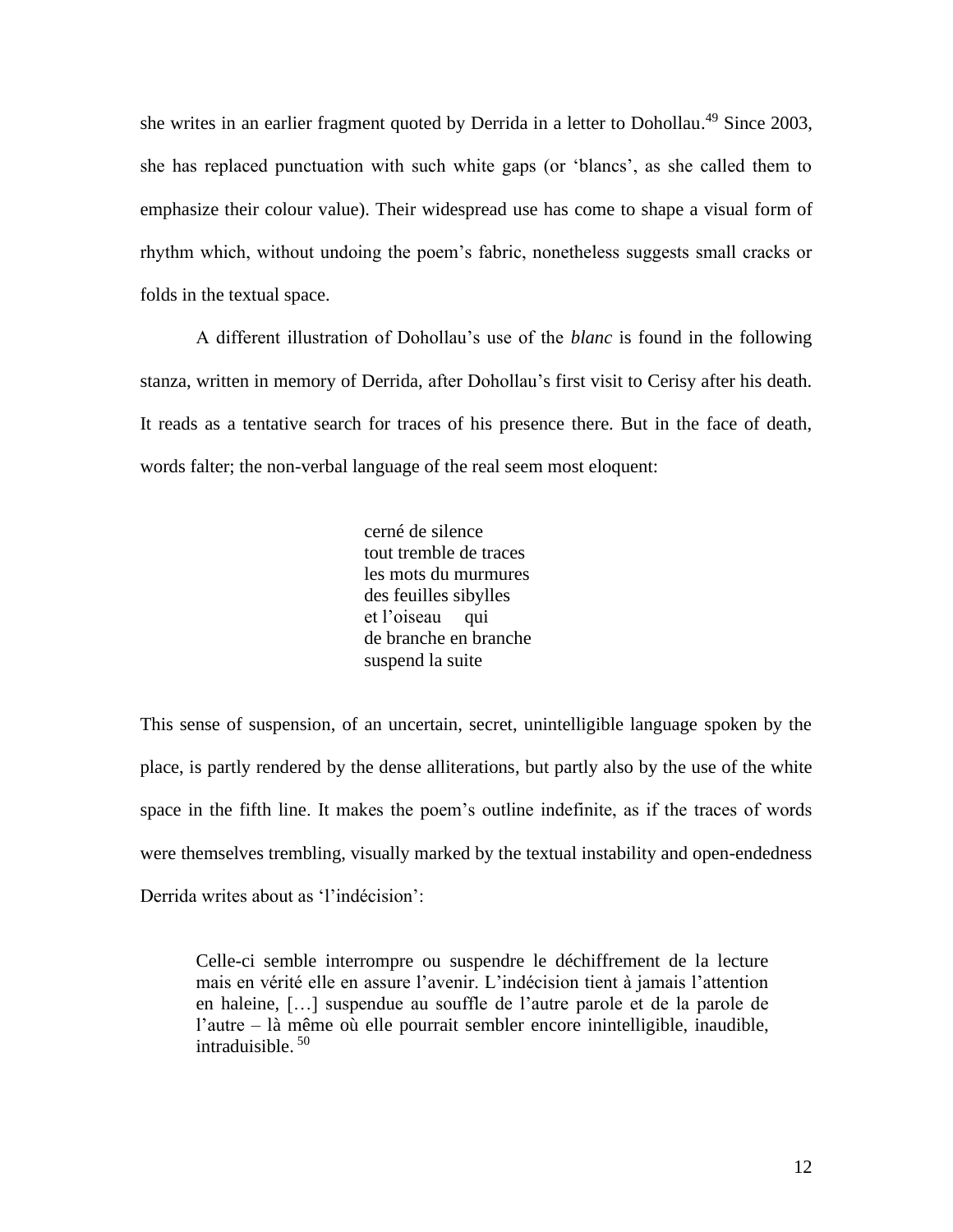she writes in an earlier fragment quoted by Derrida in a letter to Dohollau.<sup>49</sup> Since 2003, she has replaced punctuation with such white gaps (or 'blancs', as she called them to emphasize their colour value). Their widespread use has come to shape a visual form of rhythm which, without undoing the poem's fabric, nonetheless suggests small cracks or folds in the textual space.

A different illustration of Dohollau's use of the *blanc* is found in the following stanza, written in memory of Derrida, after Dohollau's first visit to Cerisy after his death. It reads as a tentative search for traces of his presence there. But in the face of death, words falter; the non-verbal language of the real seem most eloquent:

> cerné de silence tout tremble de traces les mots du murmures des feuilles sibylles et l'oiseau qui de branche en branche suspend la suite

This sense of suspension, of an uncertain, secret, unintelligible language spoken by the place, is partly rendered by the dense alliterations, but partly also by the use of the white space in the fifth line. It makes the poem's outline indefinite, as if the traces of words were themselves trembling, visually marked by the textual instability and open-endedness Derrida writes about as 'l'indécision':

Celle-ci semble interrompre ou suspendre le déchiffrement de la lecture mais en vérité elle en assure l'avenir. L'indécision tient à jamais l'attention en haleine, […] suspendue au souffle de l'autre parole et de la parole de l'autre – là même où elle pourrait sembler encore inintelligible, inaudible, intraduisible. <sup>50</sup>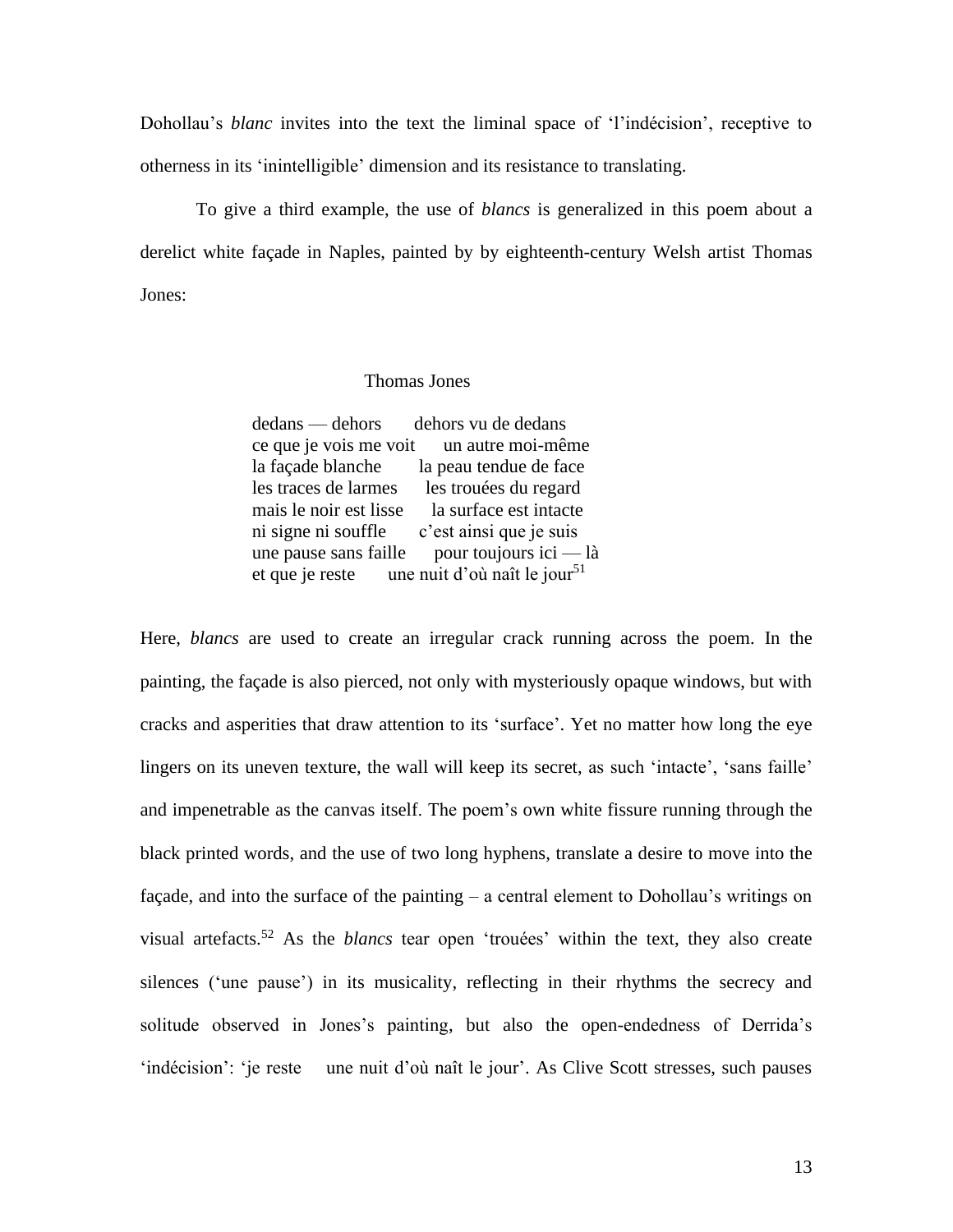Dohollau's *blanc* invites into the text the liminal space of 'l'indécision', receptive to otherness in its 'inintelligible' dimension and its resistance to translating.

To give a third example, the use of *blancs* is generalized in this poem about a derelict white façade in Naples, painted by by eighteenth-century Welsh artist Thomas Jones:

## Thomas Jones

dedans — dehors dehors vu de dedans ce que je vois me voit un autre moi-même la façade blanche la peau tendue de face les traces de larmes les trouées du regard mais le noir est lisse la surface est intacte ni signe ni souffle c'est ainsi que je suis une pause sans faille pour toujours ici  $-\lambda$ et que je reste une nuit d'où naît le jour<sup>51</sup>

Here, *blancs* are used to create an irregular crack running across the poem. In the painting, the façade is also pierced, not only with mysteriously opaque windows, but with cracks and asperities that draw attention to its 'surface'. Yet no matter how long the eye lingers on its uneven texture, the wall will keep its secret, as such 'intacte', 'sans faille' and impenetrable as the canvas itself. The poem's own white fissure running through the black printed words, and the use of two long hyphens, translate a desire to move into the façade, and into the surface of the painting – a central element to Dohollau's writings on visual artefacts.<sup>52</sup> As the *blancs* tear open 'trouées' within the text, they also create silences ('une pause') in its musicality, reflecting in their rhythms the secrecy and solitude observed in Jones's painting, but also the open-endedness of Derrida's 'indécision': 'je reste une nuit d'où naît le jour'. As Clive Scott stresses, such pauses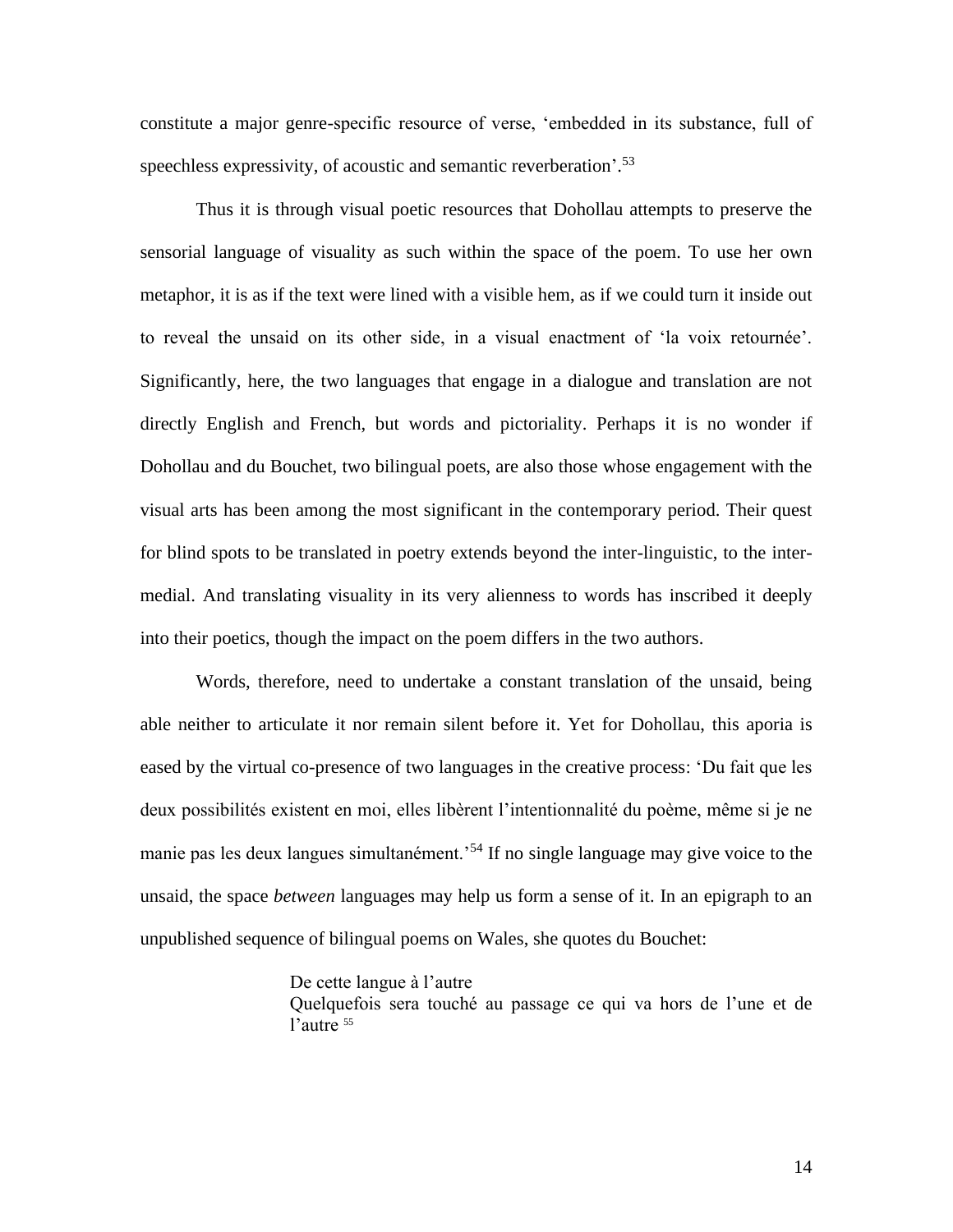constitute a major genre-specific resource of verse, 'embedded in its substance, full of speechless expressivity, of acoustic and semantic reverberation'.<sup>53</sup>

Thus it is through visual poetic resources that Dohollau attempts to preserve the sensorial language of visuality as such within the space of the poem. To use her own metaphor, it is as if the text were lined with a visible hem, as if we could turn it inside out to reveal the unsaid on its other side, in a visual enactment of 'la voix retournée'. Significantly, here, the two languages that engage in a dialogue and translation are not directly English and French, but words and pictoriality. Perhaps it is no wonder if Dohollau and du Bouchet, two bilingual poets, are also those whose engagement with the visual arts has been among the most significant in the contemporary period. Their quest for blind spots to be translated in poetry extends beyond the inter-linguistic, to the intermedial. And translating visuality in its very alienness to words has inscribed it deeply into their poetics, though the impact on the poem differs in the two authors.

Words, therefore, need to undertake a constant translation of the unsaid, being able neither to articulate it nor remain silent before it. Yet for Dohollau, this aporia is eased by the virtual co-presence of two languages in the creative process: 'Du fait que les deux possibilités existent en moi, elles libèrent l'intentionnalité du poème, même si je ne manie pas les deux langues simultanément.'<sup>54</sup> If no single language may give voice to the unsaid, the space *between* languages may help us form a sense of it. In an epigraph to an unpublished sequence of bilingual poems on Wales, she quotes du Bouchet:

## De cette langue à l'autre

Quelquefois sera touché au passage ce qui va hors de l'une et de l'autre <sup>55</sup>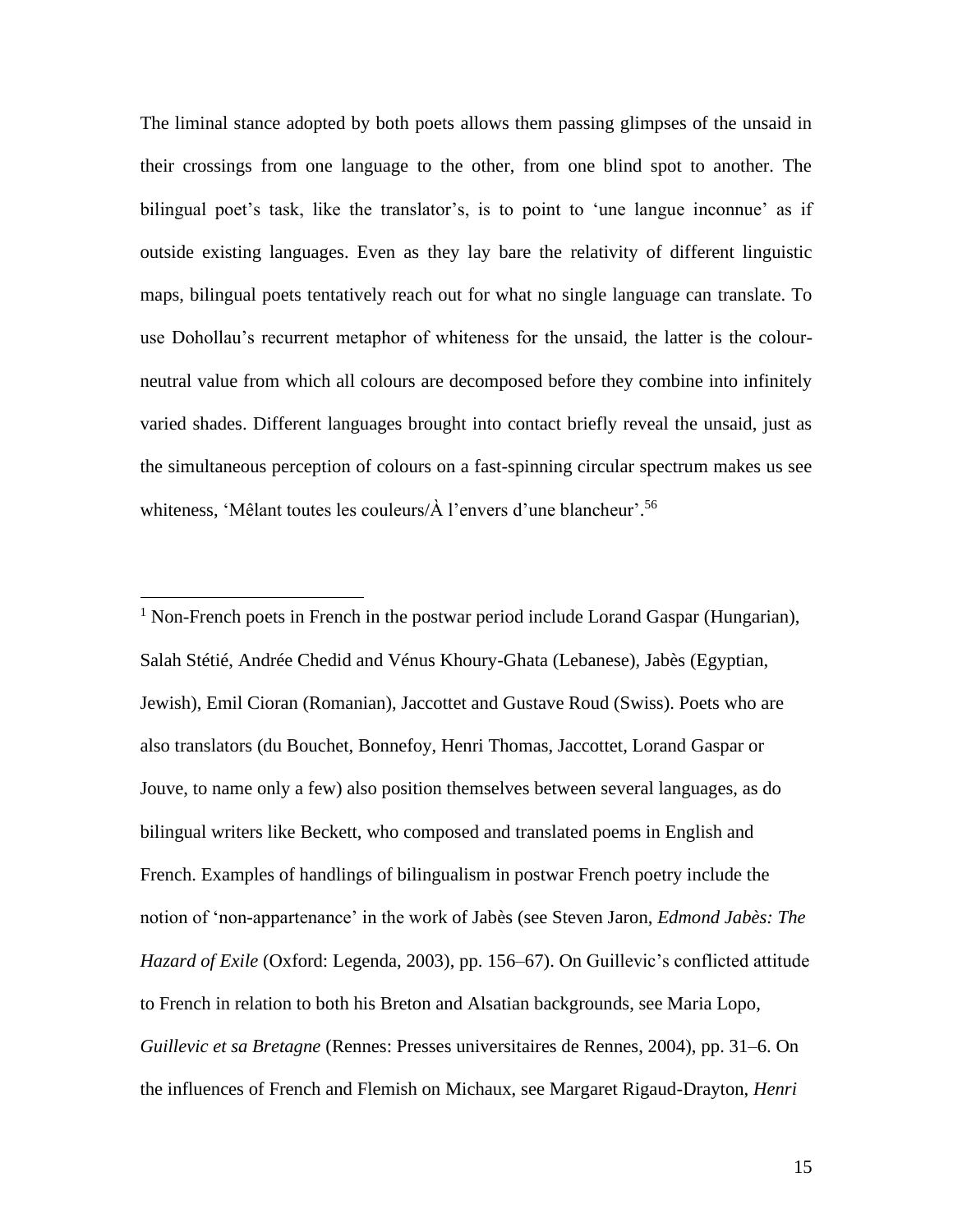The liminal stance adopted by both poets allows them passing glimpses of the unsaid in their crossings from one language to the other, from one blind spot to another. The bilingual poet's task, like the translator's, is to point to 'une langue inconnue' as if outside existing languages. Even as they lay bare the relativity of different linguistic maps, bilingual poets tentatively reach out for what no single language can translate. To use Dohollau's recurrent metaphor of whiteness for the unsaid, the latter is the colourneutral value from which all colours are decomposed before they combine into infinitely varied shades. Different languages brought into contact briefly reveal the unsaid, just as the simultaneous perception of colours on a fast-spinning circular spectrum makes us see whiteness, 'Mêlant toutes les couleurs/À l'envers d'une blancheur'. 56

 $<sup>1</sup>$  Non-French poets in French in the postwar period include Lorand Gaspar (Hungarian),</sup> Salah Stétié, Andrée Chedid and Vénus Khoury-Ghata (Lebanese), Jabès (Egyptian, Jewish), Emil Cioran (Romanian), Jaccottet and Gustave Roud (Swiss). Poets who are also translators (du Bouchet, Bonnefoy, Henri Thomas, Jaccottet, Lorand Gaspar or Jouve, to name only a few) also position themselves between several languages, as do bilingual writers like Beckett, who composed and translated poems in English and French. Examples of handlings of bilingualism in postwar French poetry include the notion of 'non-appartenance' in the work of Jabès (see Steven Jaron, *Edmond Jabès: The Hazard of Exile* (Oxford: Legenda, 2003), pp. 156–67). On Guillevic's conflicted attitude to French in relation to both his Breton and Alsatian backgrounds, see Maria Lopo, *Guillevic et sa Bretagne* (Rennes: Presses universitaires de Rennes, 2004), pp. 31–6. On the influences of French and Flemish on Michaux, see Margaret Rigaud-Drayton, *Henri* 

15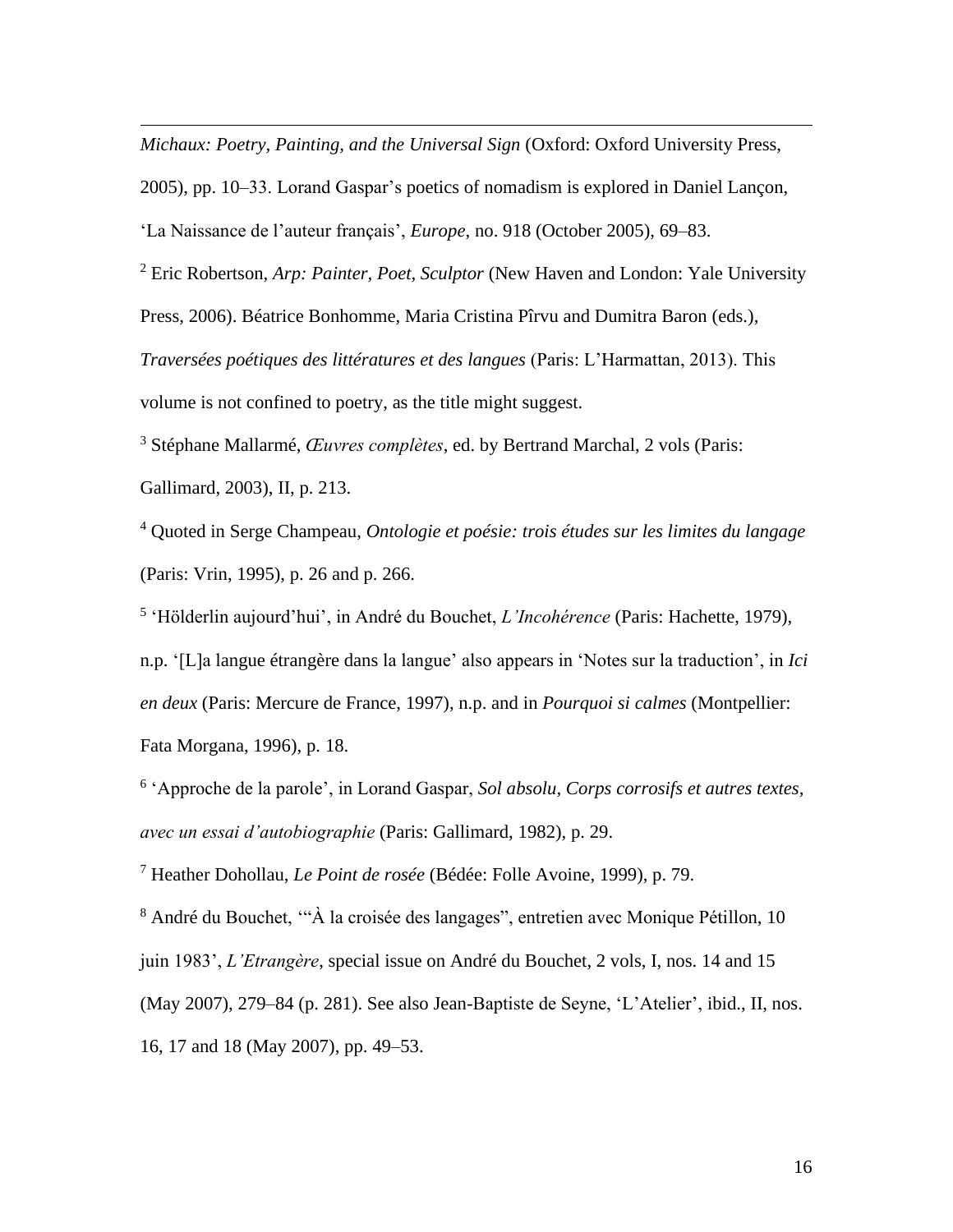*Michaux: Poetry, Painting, and the Universal Sign* (Oxford: Oxford University Press,

2005), pp. 10–33. Lorand Gaspar's poetics of nomadism is explored in Daniel Lançon,

'La Naissance de l'auteur français', *Europe*, no. 918 (October 2005), 69–83.

<sup>2</sup> Eric Robertson, *Arp: Painter, Poet, Sculptor* (New Haven and London: Yale University Press, 2006). Béatrice Bonhomme, Maria Cristina Pîrvu and Dumitra Baron (eds.), *Traversées poétiques des littératures et des langues* (Paris: L'Harmattan, 2013). This volume is not confined to poetry, as the title might suggest.

<sup>3</sup> Stéphane Mallarmé, *Œuvres complètes*, ed. by Bertrand Marchal, 2 vols (Paris: Gallimard, 2003), II, p. 213.

<sup>4</sup> Quoted in Serge Champeau, *Ontologie et poésie: trois études sur les limites du langage* (Paris: Vrin, 1995), p. 26 and p. 266.

5 'Hölderlin aujourd'hui', in André du Bouchet, *L'Incohérence* (Paris: Hachette, 1979), n.p. '[L]a langue étrangère dans la langue' also appears in 'Notes sur la traduction', in *Ici en deux* (Paris: Mercure de France, 1997), n.p. and in *Pourquoi si calmes* (Montpellier: Fata Morgana, 1996), p. 18.

6 'Approche de la parole', in Lorand Gaspar, *Sol absolu, Corps corrosifs et autres textes, avec un essai d'autobiographie* (Paris: Gallimard, 1982), p. 29.

<sup>7</sup> Heather Dohollau, *Le Point de rosée* (Bédée: Folle Avoine, 1999), p. 79.

<sup>8</sup> André du Bouchet, '"À la croisée des langages", entretien avec Monique Pétillon, 10 juin 1983', *L'Etrangère*, special issue on André du Bouchet, 2 vols, I, nos. 14 and 15 (May 2007), 279–84 (p. 281). See also Jean-Baptiste de Seyne, 'L'Atelier', ibid., II, nos. 16, 17 and 18 (May 2007), pp. 49–53.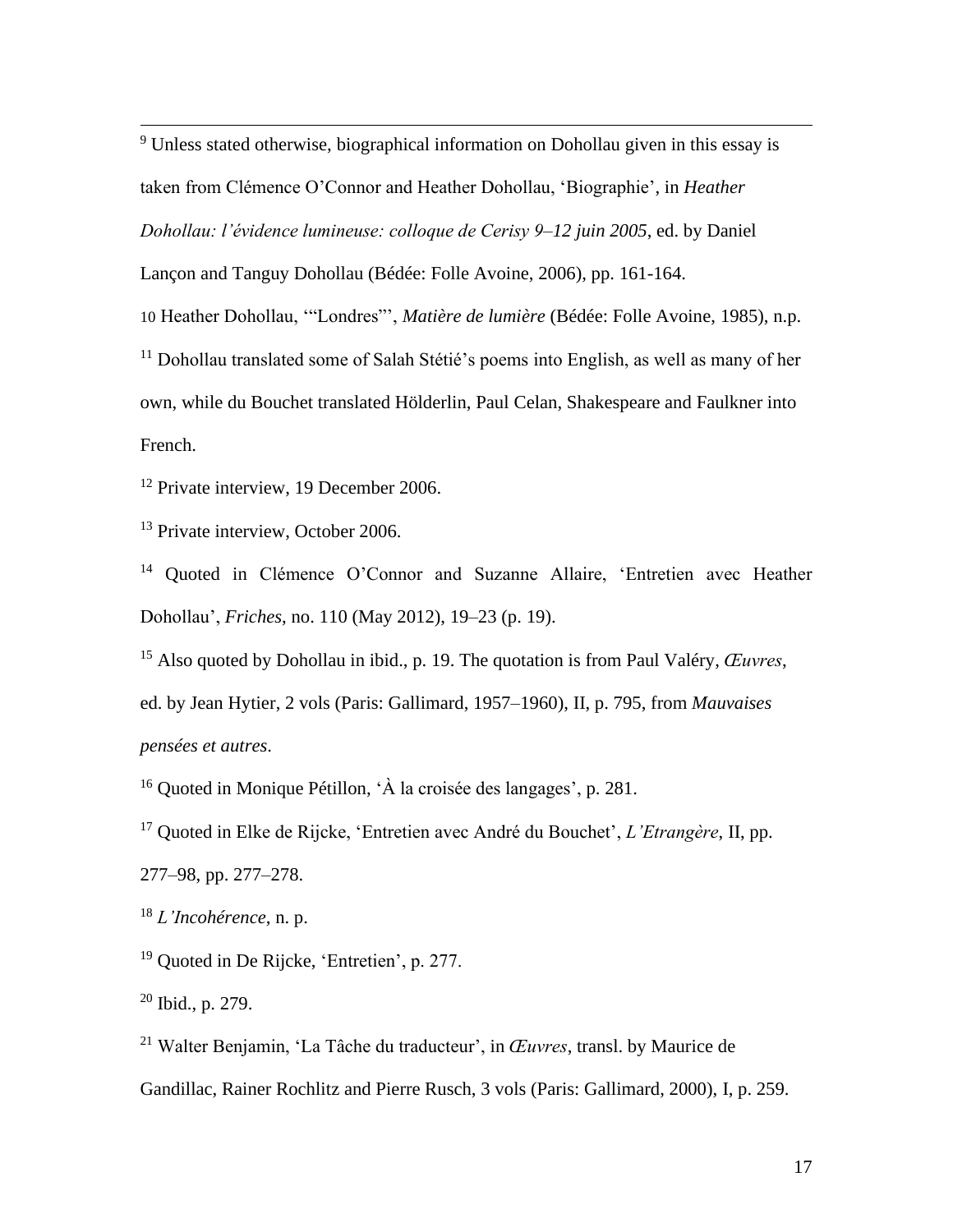<sup>9</sup> Unless stated otherwise, biographical information on Dohollau given in this essay is taken from Clémence O'Connor and Heather Dohollau, 'Biographie', in *Heather Dohollau: l'évidence lumineuse: colloque de Cerisy 9–12 juin 2005*, ed. by Daniel Lançon and Tanguy Dohollau (Bédée: Folle Avoine, 2006), pp. 161-164. 10 Heather Dohollau, '"Londres"', *Matière de lumière* (Bédée: Folle Avoine, 1985), n.p. <sup>11</sup> Dohollau translated some of Salah Stétié's poems into English, as well as many of her own, while du Bouchet translated Hölderlin, Paul Celan, Shakespeare and Faulkner into French.

<sup>12</sup> Private interview, 19 December 2006.

<sup>13</sup> Private interview, October 2006.

<sup>14</sup> Quoted in Clémence O'Connor and Suzanne Allaire, 'Entretien avec Heather Dohollau', *Friches*, no. 110 (May 2012), 19–23 (p. 19).

<sup>15</sup> Also quoted by Dohollau in ibid., p. 19. The quotation is from Paul Valéry, *Œuvres*, ed. by Jean Hytier, 2 vols (Paris: Gallimard, 1957–1960), II, p. 795, from *Mauvaises pensées et autres*.

<sup>16</sup> Quoted in Monique Pétillon, 'À la croisée des langages', p. 281.

<sup>17</sup> Quoted in Elke de Rijcke, 'Entretien avec André du Bouchet', *L'Etrangère*, II, pp.

277–98, pp. 277–278.

<sup>18</sup> *L'Incohérence*, n. p.

<sup>19</sup> Ouoted in De Rijcke, 'Entretien', p. 277.

 $20$  Ibid., p. 279.

<sup>21</sup> Walter Benjamin, 'La Tâche du traducteur', in *Œuvres*, transl. by Maurice de

Gandillac, Rainer Rochlitz and Pierre Rusch, 3 vols (Paris: Gallimard, 2000), I, p. 259.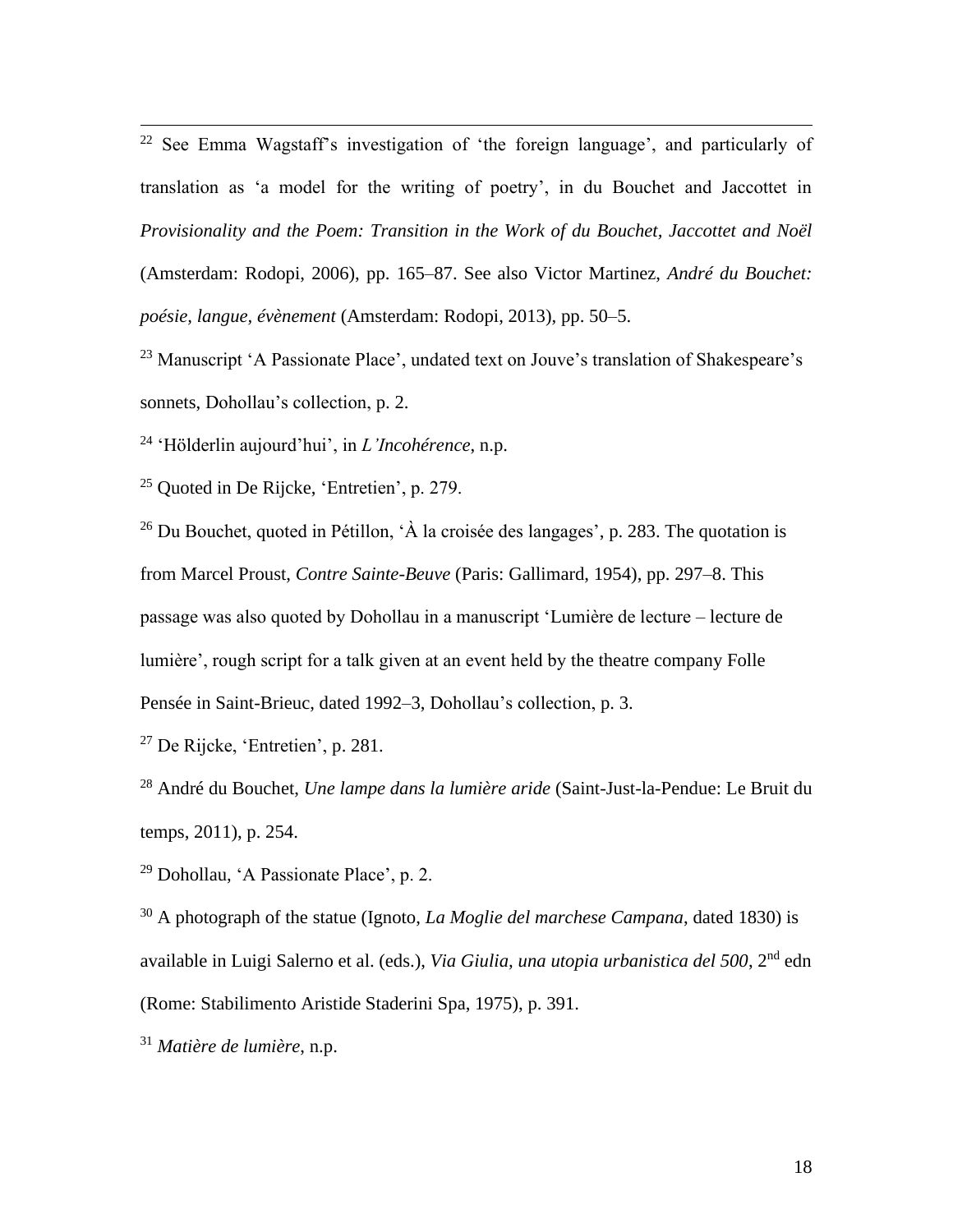<sup>22</sup> See Emma Wagstaff's investigation of 'the foreign language', and particularly of translation as 'a model for the writing of poetry', in du Bouchet and Jaccottet in *Provisionality and the Poem: Transition in the Work of du Bouchet, Jaccottet and Noël* (Amsterdam: Rodopi, 2006), pp. 165–87. See also Victor Martinez, *André du Bouchet: poésie, langue, évènement* (Amsterdam: Rodopi, 2013), pp. 50–5.

<sup>23</sup> Manuscript 'A Passionate Place', undated text on Jouve's translation of Shakespeare's sonnets, Dohollau's collection, p. 2.

<sup>24</sup> 'Hölderlin aujourd'hui', in *L'Incohérence*, n.p.

<sup>25</sup> Quoted in De Rijcke, 'Entretien', p. 279.

<sup>26</sup> Du Bouchet, quoted in Pétillon,  $\hat{A}$  la croisée des langages', p. 283. The quotation is from Marcel Proust, *Contre Sainte-Beuve* (Paris: Gallimard, 1954), pp. 297–8. This passage was also quoted by Dohollau in a manuscript 'Lumière de lecture – lecture de lumière', rough script for a talk given at an event held by the theatre company Folle Pensée in Saint-Brieuc, dated 1992–3, Dohollau's collection, p. 3.

<sup>27</sup> De Rijcke, 'Entretien', p. 281.

<sup>28</sup> André du Bouchet, *Une lampe dans la lumière aride* (Saint-Just-la-Pendue: Le Bruit du temps, 2011), p. 254.

<sup>29</sup> Dohollau, 'A Passionate Place', p. 2.

<sup>30</sup> A photograph of the statue (Ignoto, *La Moglie del marchese Campana*, dated 1830) is available in Luigi Salerno et al. (eds.), *Via Giulia, una utopia urbanistica del 500*, 2nd edn (Rome: Stabilimento Aristide Staderini Spa, 1975), p. 391.

<sup>31</sup> *Matière de lumière*, n.p.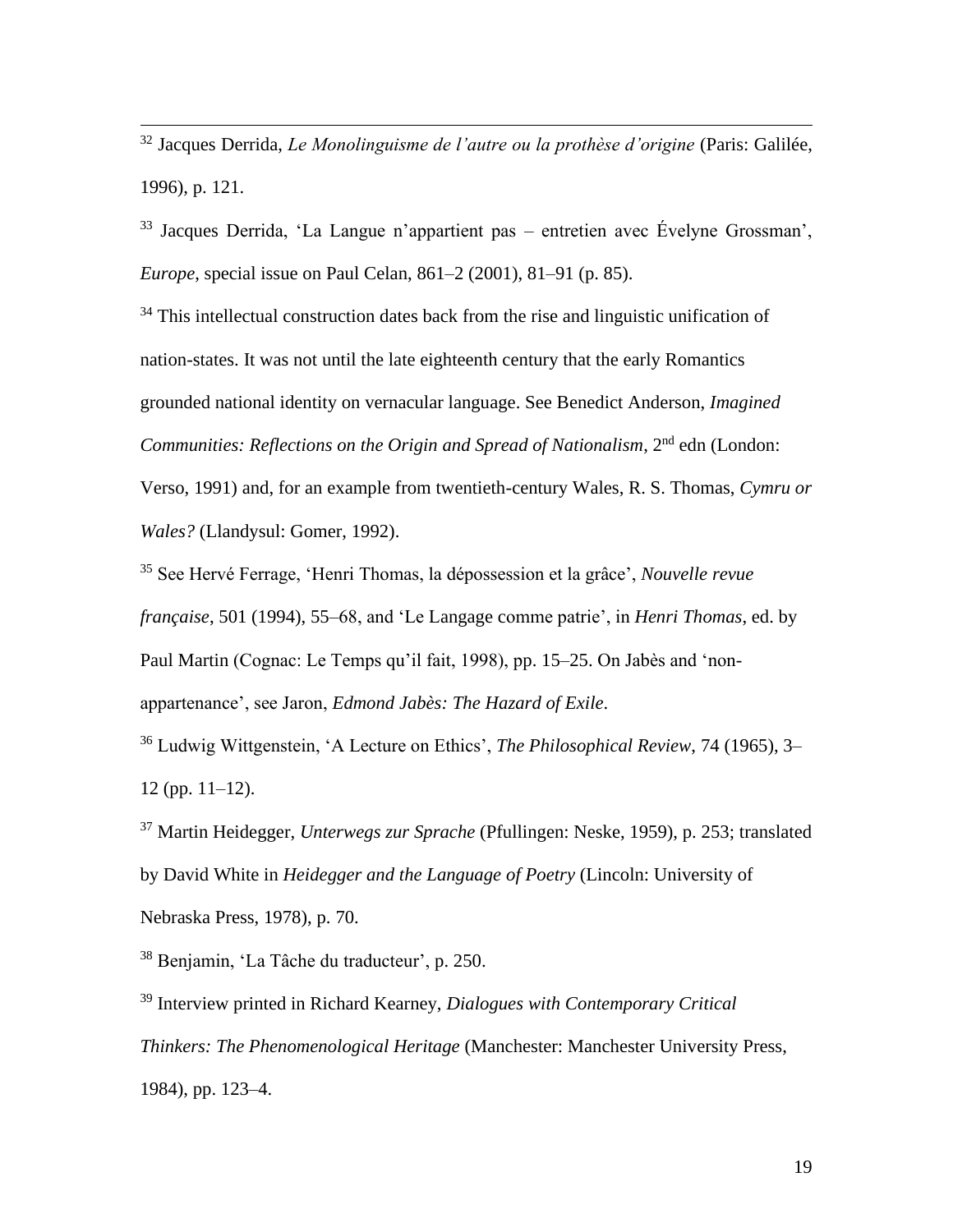<sup>32</sup> Jacques Derrida, *Le Monolinguisme de l'autre ou la prothèse d'origine* (Paris: Galilée, 1996), p. 121.

<sup>33</sup> Jacques Derrida, 'La Langue n'appartient pas – entretien avec Évelyne Grossman', *Europe*, special issue on Paul Celan, 861–2 (2001), 81–91 (p. 85).

 $34$  This intellectual construction dates back from the rise and linguistic unification of nation-states. It was not until the late eighteenth century that the early Romantics grounded national identity on vernacular language. See Benedict Anderson, *Imagined Communities: Reflections on the Origin and Spread of Nationalism*, 2nd edn (London: Verso, 1991) and, for an example from twentieth-century Wales, R. S. Thomas, *Cymru or Wales?* (Llandysul: Gomer, 1992).

<sup>35</sup> See Hervé Ferrage, 'Henri Thomas, la dépossession et la grâce', *Nouvelle revue française*, 501 (1994), 55–68, and 'Le Langage comme patrie', in *Henri Thomas*, ed. by Paul Martin (Cognac: Le Temps qu'il fait, 1998), pp. 15–25. On Jabès and 'nonappartenance', see Jaron, *Edmond Jabès: The Hazard of Exile*.

<sup>36</sup> Ludwig Wittgenstein, 'A Lecture on Ethics', *The Philosophical Review*, 74 (1965), 3– 12 (pp. 11–12).

<sup>37</sup> Martin Heidegger, *Unterwegs zur Sprache* (Pfullingen: Neske, 1959), p. 253; translated by David White in *Heidegger and the Language of Poetry* (Lincoln: University of Nebraska Press, 1978), p. 70.

<sup>38</sup> Benjamin, 'La Tâche du traducteur', p. 250.

<sup>39</sup> Interview printed in Richard Kearney, *Dialogues with Contemporary Critical Thinkers: The Phenomenological Heritage* (Manchester: Manchester University Press, 1984), pp. 123–4.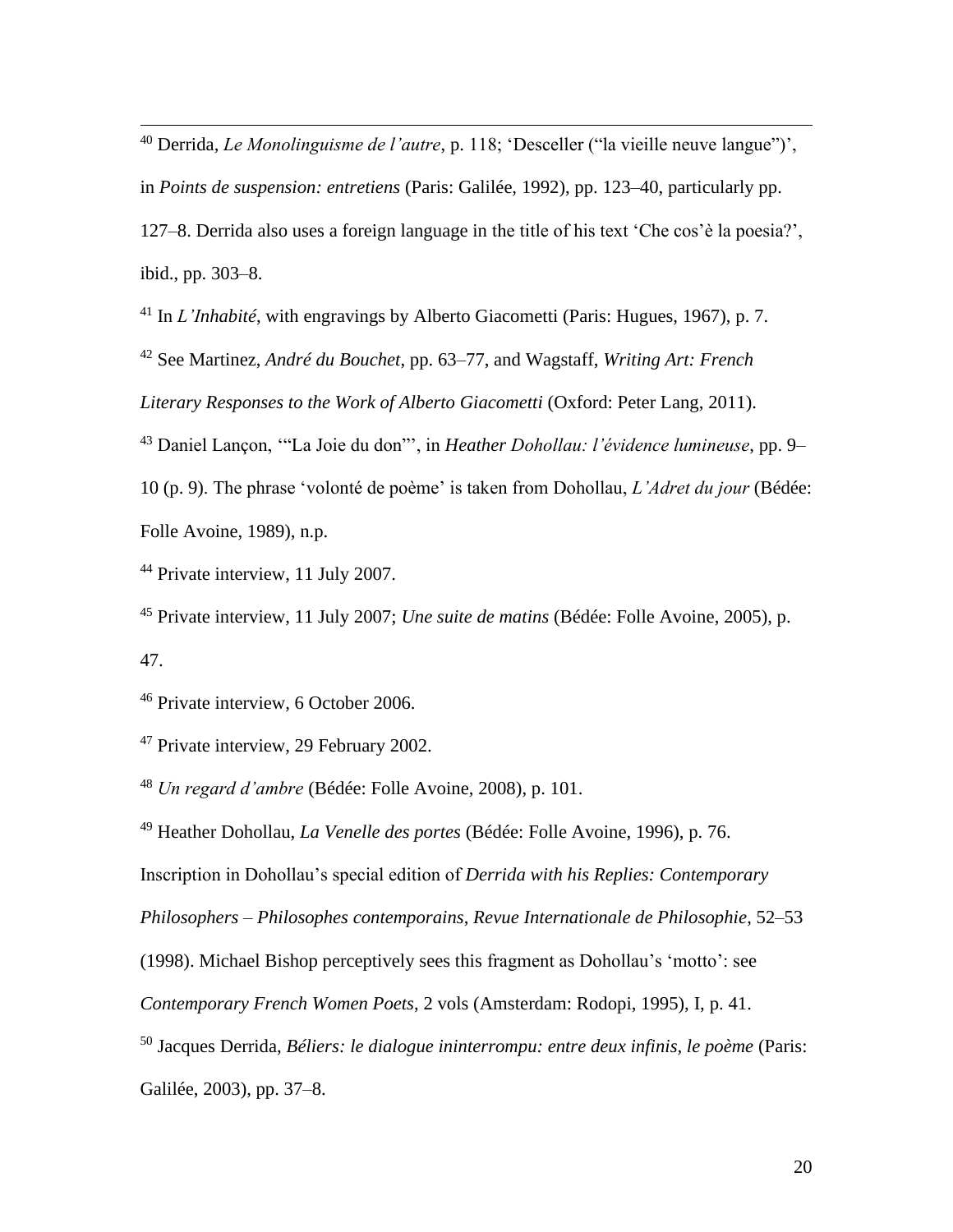<sup>40</sup> Derrida, *Le Monolinguisme de l'autre*, p. 118; 'Desceller ("la vieille neuve langue")', in *Points de suspension: entretiens* (Paris: Galilée, 1992), pp. 123–40, particularly pp. 127–8. Derrida also uses a foreign language in the title of his text 'Che cos'è la poesia?', ibid., pp. 303–8.

<sup>41</sup> In *L'Inhabité*, with engravings by Alberto Giacometti (Paris: Hugues, 1967), p. 7.

<sup>42</sup> See Martinez, *André du Bouchet*, pp. 63–77, and Wagstaff, *Writing Art: French* 

*Literary Responses to the Work of Alberto Giacometti* (Oxford: Peter Lang, 2011).

<sup>43</sup> Daniel Lançon, '"La Joie du don"', in *Heather Dohollau: l'évidence lumineuse*, pp. 9–

10 (p. 9). The phrase 'volonté de poème' is taken from Dohollau, *L'Adret du jour* (Bédée: Folle Avoine, 1989), n.p.

<sup>44</sup> Private interview, 11 July 2007.

<sup>45</sup> Private interview, 11 July 2007; *Une suite de matins* (Bédée: Folle Avoine, 2005), p. 47.

<sup>46</sup> Private interview, 6 October 2006.

<sup>47</sup> Private interview, 29 February 2002.

<sup>48</sup> *Un regard d'ambre* (Bédée: Folle Avoine, 2008), p. 101.

<sup>49</sup> Heather Dohollau, *La Venelle des portes* (Bédée: Folle Avoine, 1996), p. 76.

Inscription in Dohollau's special edition of *Derrida with his Replies: Contemporary* 

*Philosophers – Philosophes contemporains*, *Revue Internationale de Philosophie*, 52–53

(1998). Michael Bishop perceptively sees this fragment as Dohollau's 'motto': see

*Contemporary French Women Poets*, 2 vols (Amsterdam: Rodopi, 1995), I, p. 41.

<sup>50</sup> Jacques Derrida, *Béliers: le dialogue ininterrompu: entre deux infinis, le poème* (Paris:

Galilée, 2003), pp. 37–8.